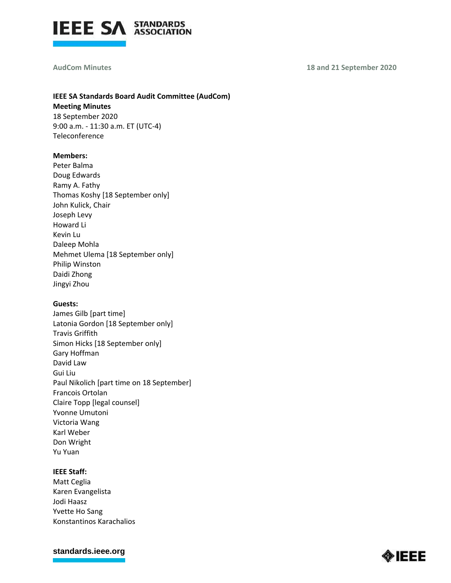

#### **AudCom Minutes 18 and 21 September 2020**

# **IEEE SA Standards Board Audit Committee (AudCom) Meeting Minutes**

18 September 2020 9:00 a.m. - 11:30 a.m. ET (UTC-4) Teleconference

#### **Members:**

Peter Balma Doug Edwards Ramy A. Fathy Thomas Koshy [18 September only] John Kulick, Chair Joseph Levy Howard Li Kevin Lu Daleep Mohla Mehmet Ulema [18 September only] Philip Winston Daidi Zhong Jingyi Zhou

#### **Guests:**

James Gilb [part time] Latonia Gordon [18 September only] Travis Griffith Simon Hicks [18 September only] Gary Hoffman David Law Gui Liu Paul Nikolich [part time on 18 September] Francois Ortolan Claire Topp [legal counsel] Yvonne Umutoni Victoria Wang Karl Weber Don Wright Yu Yuan

#### **IEEE Staff:**

Matt Ceglia Karen Evangelista Jodi Haasz Yvette Ho Sang Konstantinos Karachalios

**[standards.ieee.org](http://standards.ieee.org/)**

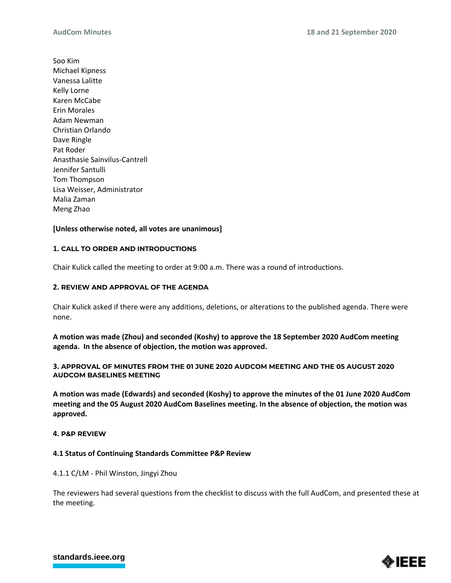Soo Kim Michael Kipness Vanessa Lalitte Kelly Lorne Karen McCabe Erin Morales Adam Newman Christian Orlando Dave Ringle Pat Roder Anasthasie Sainvilus-Cantrell Jennifer Santulli Tom Thompson Lisa Weisser, Administrator Malia Zaman Meng Zhao

## **[Unless otherwise noted, all votes are unanimous]**

#### **1. CALL TO ORDER AND INTRODUCTIONS**

Chair Kulick called the meeting to order at 9:00 a.m. There was a round of introductions.

### **2. REVIEW AND APPROVAL OF THE AGENDA**

Chair Kulick asked if there were any additions, deletions, or alterations to the published agenda. There were none.

**A motion was made (Zhou) and seconded (Koshy) to approve the 18 September 2020 AudCom meeting agenda. In the absence of objection, the motion was approved.**

**3. APPROVAL OF MINUTES FROM THE 01 JUNE 2020 AUDCOM MEETING AND THE 05 AUGUST 2020 AUDCOM BASELINES MEETING**

**A motion was made (Edwards) and seconded (Koshy) to approve the minutes of the 01 June 2020 AudCom meeting and the 05 August 2020 AudCom Baselines meeting. In the absence of objection, the motion was approved.**

#### **4. P&P REVIEW**

#### **4.1 Status of Continuing Standards Committee P&P Review**

#### 4.1.1 C/LM - Phil Winston, Jingyi Zhou

The reviewers had several questions from the checklist to discuss with the full AudCom, and presented these at the meeting.



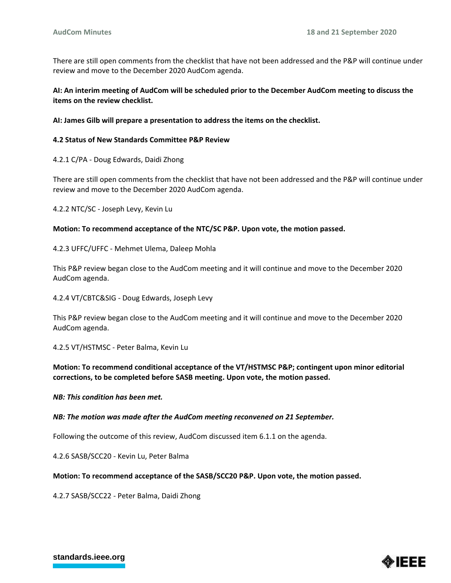There are still open comments from the checklist that have not been addressed and the P&P will continue under review and move to the December 2020 AudCom agenda.

**AI: An interim meeting of AudCom will be scheduled prior to the December AudCom meeting to discuss the items on the review checklist.** 

**AI: James Gilb will prepare a presentation to address the items on the checklist.** 

#### **4.2 Status of New Standards Committee P&P Review**

4.2.1 C/PA - Doug Edwards, Daidi Zhong

There are still open comments from the checklist that have not been addressed and the P&P will continue under review and move to the December 2020 AudCom agenda.

4.2.2 NTC/SC - Joseph Levy, Kevin Lu

#### **Motion: To recommend acceptance of the NTC/SC P&P. Upon vote, the motion passed.**

4.2.3 UFFC/UFFC - Mehmet Ulema, Daleep Mohla

This P&P review began close to the AudCom meeting and it will continue and move to the December 2020 AudCom agenda.

4.2.4 VT/CBTC&SIG - Doug Edwards, Joseph Levy

This P&P review began close to the AudCom meeting and it will continue and move to the December 2020 AudCom agenda.

4.2.5 VT/HSTMSC - Peter Balma, Kevin Lu

## **Motion: To recommend conditional acceptance of the VT/HSTMSC P&P; contingent upon minor editorial corrections, to be completed before SASB meeting. Upon vote, the motion passed.**

*NB: This condition has been met.* 

*NB: The motion was made after the AudCom meeting reconvened on 21 September.*

Following the outcome of this review, AudCom discussed item 6.1.1 on the agenda.

4.2.6 SASB/SCC20 - Kevin Lu, Peter Balma

#### **Motion: To recommend acceptance of the SASB/SCC20 P&P. Upon vote, the motion passed.**

4.2.7 SASB/SCC22 - Peter Balma, Daidi Zhong

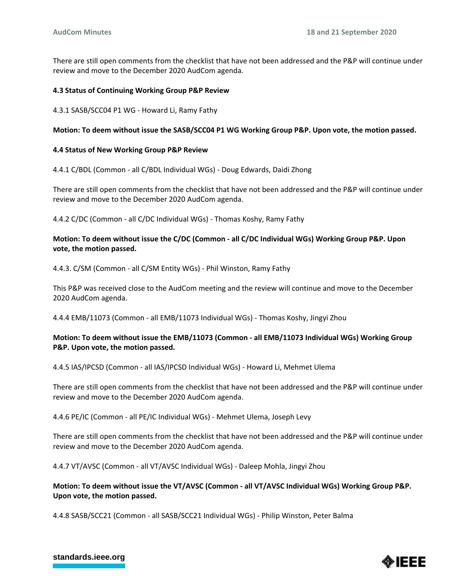There are still open comments from the checklist that have not been addressed and the P&P will continue under review and move to the December 2020 AudCom agenda.

### **4.3 Status of Continuing Working Group P&P Review**

4.3.1 SASB/SCC04 P1 WG - Howard Li, Ramy Fathy

## **Motion: To deem without issue the SASB/SCC04 P1 WG Working Group P&P. Upon vote, the motion passed.**

#### **4.4 Status of New Working Group P&P Review**

4.4.1 C/BDL (Common - all C/BDL Individual WGs) - Doug Edwards, Daidi Zhong

There are still open comments from the checklist that have not been addressed and the P&P will continue under review and move to the December 2020 AudCom agenda.

4.4.2 C/DC (Common - all C/DC Individual WGs) - Thomas Koshy, Ramy Fathy

## **Motion: To deem without issue the C/DC (Common - all C/DC Individual WGs) Working Group P&P. Upon vote, the motion passed.**

4.4.3. C/SM (Common - all C/SM Entity WGs) - Phil Winston, Ramy Fathy

This P&P was received close to the AudCom meeting and the review will continue and move to the December 2020 AudCom agenda.

4.4.4 EMB/11073 (Common - all EMB/11073 Individual WGs) - Thomas Koshy, Jingyi Zhou

## **Motion: To deem without issue the EMB/11073 (Common - all EMB/11073 Individual WGs) Working Group P&P. Upon vote, the motion passed.**

4.4.5 IAS/IPCSD (Common - all IAS/IPCSD Individual WGs) - Howard Li, Mehmet Ulema

There are still open comments from the checklist that have not been addressed and the P&P will continue under review and move to the December 2020 AudCom agenda.

4.4.6 PE/IC (Common - all PE/IC Individual WGs) - Mehmet Ulema, Joseph Levy

There are still open comments from the checklist that have not been addressed and the P&P will continue under review and move to the December 2020 AudCom agenda.

4.4.7 VT/AVSC (Common - all VT/AVSC Individual WGs) - Daleep Mohla, Jingyi Zhou

## **Motion: To deem without issue the VT/AVSC (Common - all VT/AVSC Individual WGs) Working Group P&P. Upon vote, the motion passed.**

4.4.8 SASB/SCC21 (Common - all SASB/SCC21 Individual WGs) - Philip Winston, Peter Balma

## **[standards.ieee.org](http://standards.ieee.org/)**

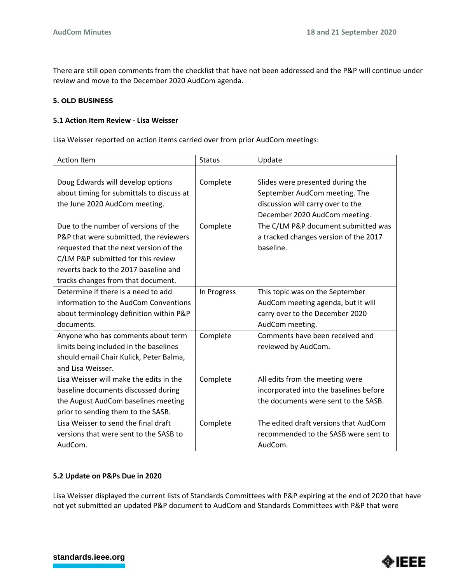There are still open comments from the checklist that have not been addressed and the P&P will continue under review and move to the December 2020 AudCom agenda.

### **5. OLD BUSINESS**

#### **5.1 Action Item Review - Lisa Weisser**

Lisa Weisser reported on action items carried over from prior AudCom meetings:

| <b>Action Item</b>                        | <b>Status</b> | Update                                 |
|-------------------------------------------|---------------|----------------------------------------|
|                                           |               |                                        |
| Doug Edwards will develop options         | Complete      | Slides were presented during the       |
| about timing for submittals to discuss at |               | September AudCom meeting. The          |
| the June 2020 AudCom meeting.             |               | discussion will carry over to the      |
|                                           |               | December 2020 AudCom meeting.          |
| Due to the number of versions of the      | Complete      | The C/LM P&P document submitted was    |
| P&P that were submitted, the reviewers    |               | a tracked changes version of the 2017  |
| requested that the next version of the    |               | baseline.                              |
| C/LM P&P submitted for this review        |               |                                        |
| reverts back to the 2017 baseline and     |               |                                        |
| tracks changes from that document.        |               |                                        |
| Determine if there is a need to add       | In Progress   | This topic was on the September        |
| information to the AudCom Conventions     |               | AudCom meeting agenda, but it will     |
| about terminology definition within P&P   |               | carry over to the December 2020        |
| documents.                                |               | AudCom meeting.                        |
| Anyone who has comments about term        | Complete      | Comments have been received and        |
| limits being included in the baselines    |               | reviewed by AudCom.                    |
| should email Chair Kulick, Peter Balma,   |               |                                        |
| and Lisa Weisser.                         |               |                                        |
| Lisa Weisser will make the edits in the   | Complete      | All edits from the meeting were        |
| baseline documents discussed during       |               | incorporated into the baselines before |
| the August AudCom baselines meeting       |               | the documents were sent to the SASB.   |
| prior to sending them to the SASB.        |               |                                        |
| Lisa Weisser to send the final draft      | Complete      | The edited draft versions that AudCom  |
| versions that were sent to the SASB to    |               | recommended to the SASB were sent to   |
| AudCom.                                   |               | AudCom.                                |

## **5.2 Update on P&Ps Due in 2020**

Lisa Weisser displayed the current lists of Standards Committees with P&P expiring at the end of 2020 that have not yet submitted an updated P&P document to AudCom and Standards Committees with P&P that were



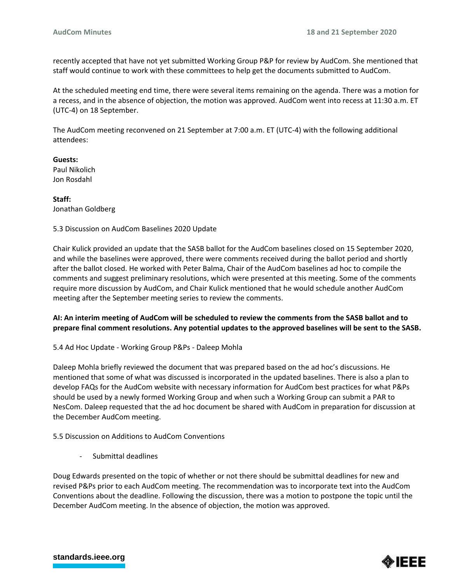recently accepted that have not yet submitted Working Group P&P for review by AudCom. She mentioned that staff would continue to work with these committees to help get the documents submitted to AudCom.

At the scheduled meeting end time, there were several items remaining on the agenda. There was a motion for a recess, and in the absence of objection, the motion was approved. AudCom went into recess at 11:30 a.m. ET (UTC-4) on 18 September.

The AudCom meeting reconvened on 21 September at 7:00 a.m. ET (UTC-4) with the following additional attendees:

**Guests:**  Paul Nikolich Jon Rosdahl

**Staff:** Jonathan Goldberg

5.3 Discussion on AudCom Baselines 2020 Update

Chair Kulick provided an update that the SASB ballot for the AudCom baselines closed on 15 September 2020, and while the baselines were approved, there were comments received during the ballot period and shortly after the ballot closed. He worked with Peter Balma, Chair of the AudCom baselines ad hoc to compile the comments and suggest preliminary resolutions, which were presented at this meeting. Some of the comments require more discussion by AudCom, and Chair Kulick mentioned that he would schedule another AudCom meeting after the September meeting series to review the comments.

## **AI: An interim meeting of AudCom will be scheduled to review the comments from the SASB ballot and to prepare final comment resolutions. Any potential updates to the approved baselines will be sent to the SASB.**

5.4 Ad Hoc Update - Working Group P&Ps - Daleep Mohla

Daleep Mohla briefly reviewed the document that was prepared based on the ad hoc's discussions. He mentioned that some of what was discussed is incorporated in the updated baselines. There is also a plan to develop FAQs for the AudCom website with necessary information for AudCom best practices for what P&Ps should be used by a newly formed Working Group and when such a Working Group can submit a PAR to NesCom. Daleep requested that the ad hoc document be shared with AudCom in preparation for discussion at the December AudCom meeting.

5.5 Discussion on Additions to AudCom Conventions

- Submittal deadlines

Doug Edwards presented on the topic of whether or not there should be submittal deadlines for new and revised P&Ps prior to each AudCom meeting. The recommendation was to incorporate text into the AudCom Conventions about the deadline. Following the discussion, there was a motion to postpone the topic until the December AudCom meeting. In the absence of objection, the motion was approved.